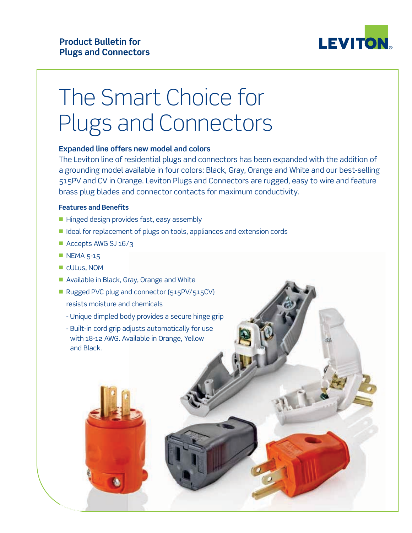

# The Smart Choice for Plugs and Connectors

## **Expanded line offers new model and colors**

The Leviton line of residential plugs and connectors has been expanded with the addition of a grounding model available in four colors: Black, Gray, Orange and White and our best-selling 515PV and CV in Orange. Leviton Plugs and Connectors are rugged, easy to wire and feature brass plug blades and connector contacts for maximum conductivity.

## **Features and Benefits**

- $\blacksquare$  Hinged design provides fast, easy assembly
- Ideal for replacement of plugs on tools, appliances and extension cords
- $\blacksquare$  Accepts AWG SJ 16/3
- $\blacksquare$  NEMA 5-15
- cULus, NOM
- Available in Black, Gray, Orange and White
- Rugged PVC plug and connector (515PV/515CV) resists moisture and chemicals
	- Unique dimpled body provides a secure hinge grip
	- Built-in cord grip adjusts automatically for use with 18-12 AWG. Available in Orange, Yellow and Black.